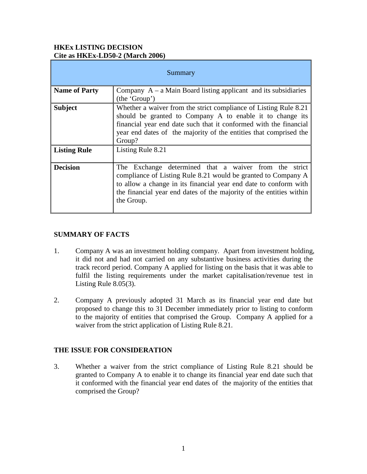### **HKEx LISTING DECISION Cite as HKEx-LD50-2 (March 2006)**

| Summary              |                                                                                                                                                                                                                                                                                   |
|----------------------|-----------------------------------------------------------------------------------------------------------------------------------------------------------------------------------------------------------------------------------------------------------------------------------|
| <b>Name of Party</b> | Company $A - a$ Main Board listing applicant and its subsidiaries<br>(the 'Group')                                                                                                                                                                                                |
| <b>Subject</b>       | Whether a waiver from the strict compliance of Listing Rule 8.21<br>should be granted to Company A to enable it to change its<br>financial year end date such that it conformed with the financial<br>year end dates of the majority of the entities that comprised the<br>Group? |
| <b>Listing Rule</b>  | Listing Rule 8.21                                                                                                                                                                                                                                                                 |
| <b>Decision</b>      | The Exchange determined that a waiver from the strict<br>compliance of Listing Rule 8.21 would be granted to Company A<br>to allow a change in its financial year end date to conform with<br>the financial year end dates of the majority of the entities within<br>the Group.   |

# **SUMMARY OF FACTS**

- 1. Company A was an investment holding company. Apart from investment holding, it did not and had not carried on any substantive business activities during the track record period. Company A applied for listing on the basis that it was able to fulfil the listing requirements under the market capitalisation/revenue test in Listing Rule 8.05(3).
- 2. Company A previously adopted 31 March as its financial year end date but proposed to change this to 31 December immediately prior to listing to conform to the majority of entities that comprised the Group. Company A applied for a waiver from the strict application of Listing Rule 8.21.

# **THE ISSUE FOR CONSIDERATION**

3. Whether a waiver from the strict compliance of Listing Rule 8.21 should be granted to Company A to enable it to change its financial year end date such that it conformed with the financial year end dates of the majority of the entities that comprised the Group?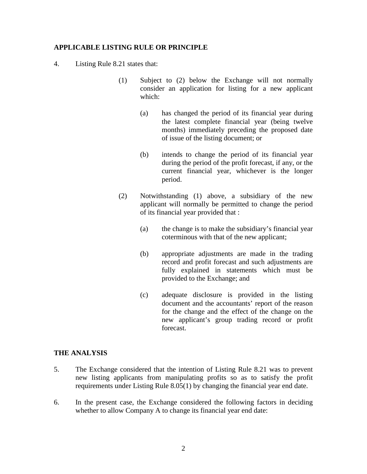#### **APPLICABLE LISTING RULE OR PRINCIPLE**

- 4. Listing Rule 8.21 states that:
	- (1) Subject to (2) below the Exchange will not normally consider an application for listing for a new applicant which:
		- (a) has changed the period of its financial year during the latest complete financial year (being twelve months) immediately preceding the proposed date of issue of the listing document; or
		- (b) intends to change the period of its financial year during the period of the profit forecast, if any, or the current financial year, whichever is the longer period.
	- (2) Notwithstanding (1) above, a subsidiary of the new applicant will normally be permitted to change the period of its financial year provided that :
		- (a) the change is to make the subsidiary's financial year coterminous with that of the new applicant;
		- (b) appropriate adjustments are made in the trading record and profit forecast and such adjustments are fully explained in statements which must be provided to the Exchange; and
		- (c) adequate disclosure is provided in the listing document and the accountants' report of the reason for the change and the effect of the change on the new applicant's group trading record or profit forecast.

#### **THE ANALYSIS**

- 5. The Exchange considered that the intention of Listing Rule 8.21 was to prevent new listing applicants from manipulating profits so as to satisfy the profit requirements under Listing Rule 8.05(1) by changing the financial year end date.
- 6. In the present case, the Exchange considered the following factors in deciding whether to allow Company A to change its financial year end date: